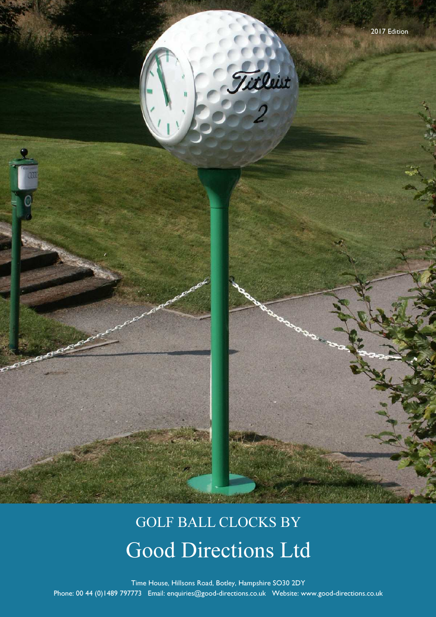

# GOLF BALL CLOCKS BY Good Directions Ltd

Time House, Hillsons Road, Botley, Hampshire SO30 2DY Phone: 00 44 (0)1489 797773 Email: enquiries@good-directions.co.uk Website: www.good-directions.co.uk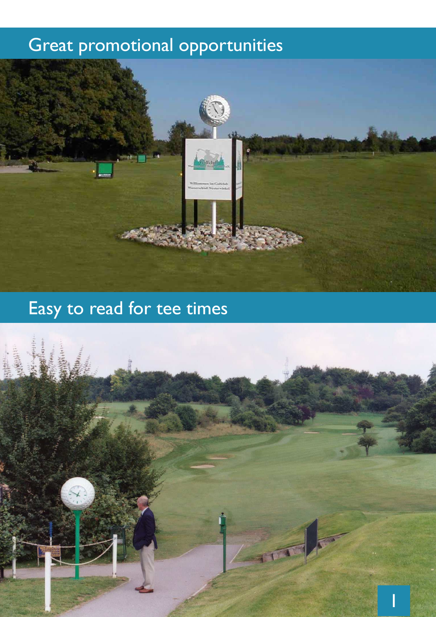## Great promotional opportunities



## Easy to read for tee times